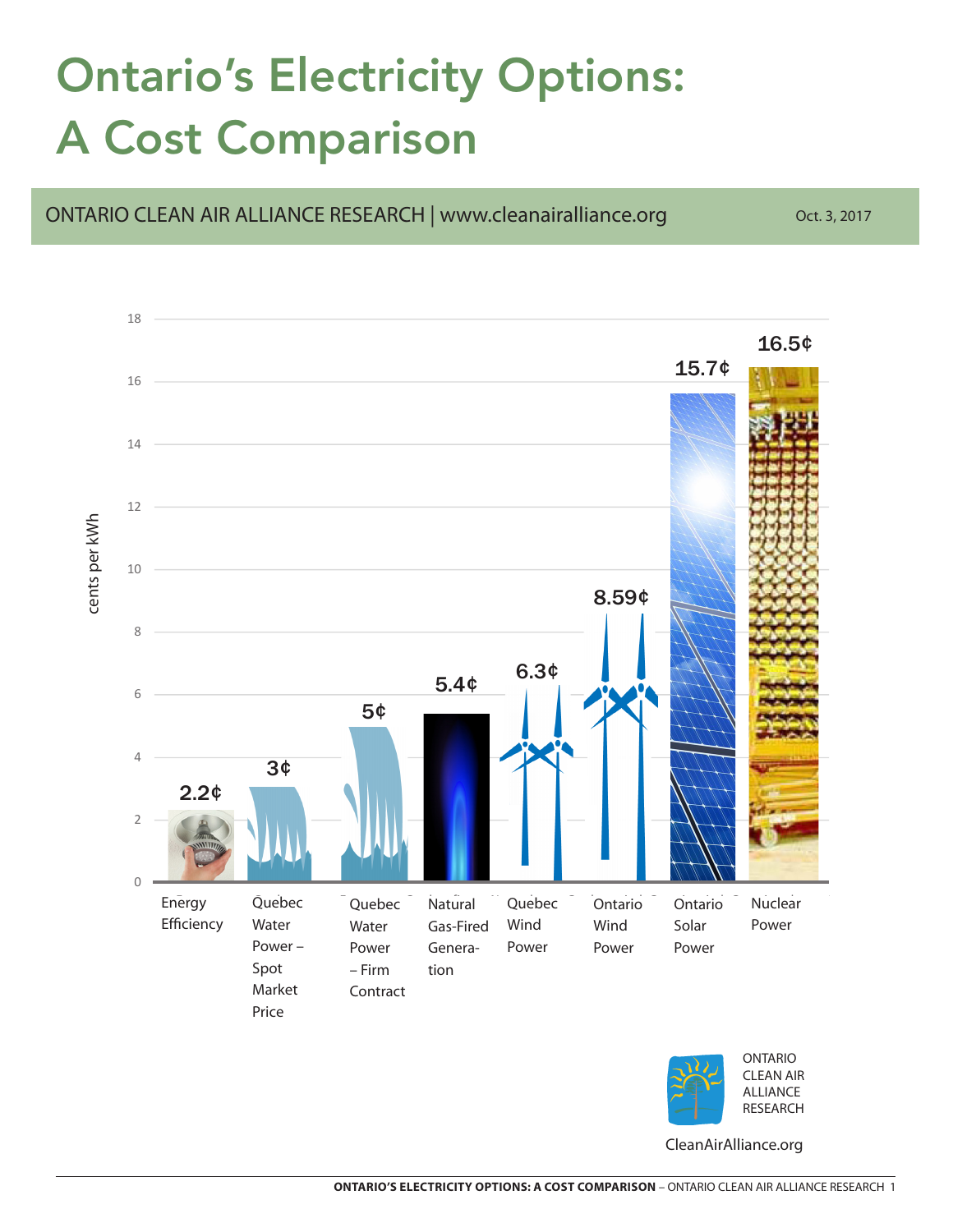## Ontario's Electricity Options: A Cost Comparison



ONTARIO CLEAN AIR ALLIANCE RESEARCH | www.cleanairalliance.org Oct. 3, 2017



CleanAirAlliance.org